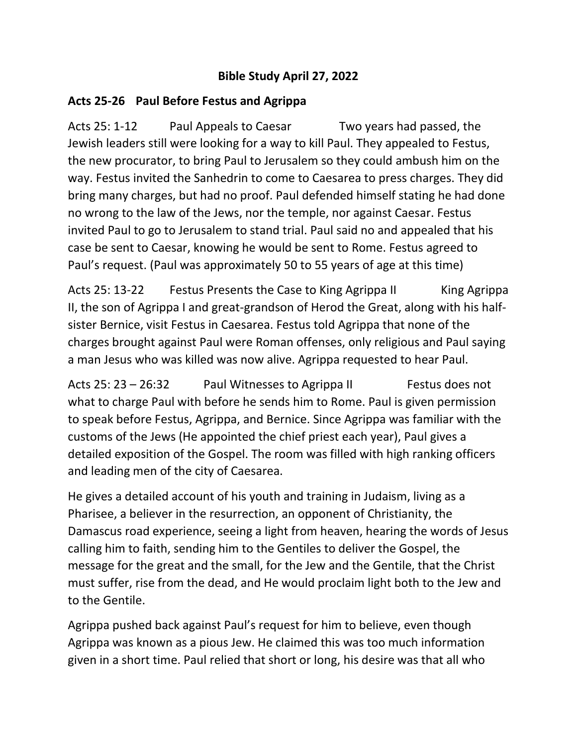## **Bible Study April 27, 2022**

## **Acts 25-26 Paul Before Festus and Agrippa**

Acts 25: 1-12 Paul Appeals to Caesar Two years had passed, the Jewish leaders still were looking for a way to kill Paul. They appealed to Festus, the new procurator, to bring Paul to Jerusalem so they could ambush him on the way. Festus invited the Sanhedrin to come to Caesarea to press charges. They did bring many charges, but had no proof. Paul defended himself stating he had done no wrong to the law of the Jews, nor the temple, nor against Caesar. Festus invited Paul to go to Jerusalem to stand trial. Paul said no and appealed that his case be sent to Caesar, knowing he would be sent to Rome. Festus agreed to Paul's request. (Paul was approximately 50 to 55 years of age at this time)

Acts 25: 13-22 Festus Presents the Case to King Agrippa II King Agrippa II, the son of Agrippa I and great-grandson of Herod the Great, along with his halfsister Bernice, visit Festus in Caesarea. Festus told Agrippa that none of the charges brought against Paul were Roman offenses, only religious and Paul saying a man Jesus who was killed was now alive. Agrippa requested to hear Paul.

Acts 25: 23 - 26:32 Paul Witnesses to Agrippa II Festus does not what to charge Paul with before he sends him to Rome. Paul is given permission to speak before Festus, Agrippa, and Bernice. Since Agrippa was familiar with the customs of the Jews (He appointed the chief priest each year), Paul gives a detailed exposition of the Gospel. The room was filled with high ranking officers and leading men of the city of Caesarea.

He gives a detailed account of his youth and training in Judaism, living as a Pharisee, a believer in the resurrection, an opponent of Christianity, the Damascus road experience, seeing a light from heaven, hearing the words of Jesus calling him to faith, sending him to the Gentiles to deliver the Gospel, the message for the great and the small, for the Jew and the Gentile, that the Christ must suffer, rise from the dead, and He would proclaim light both to the Jew and to the Gentile.

Agrippa pushed back against Paul's request for him to believe, even though Agrippa was known as a pious Jew. He claimed this was too much information given in a short time. Paul relied that short or long, his desire was that all who